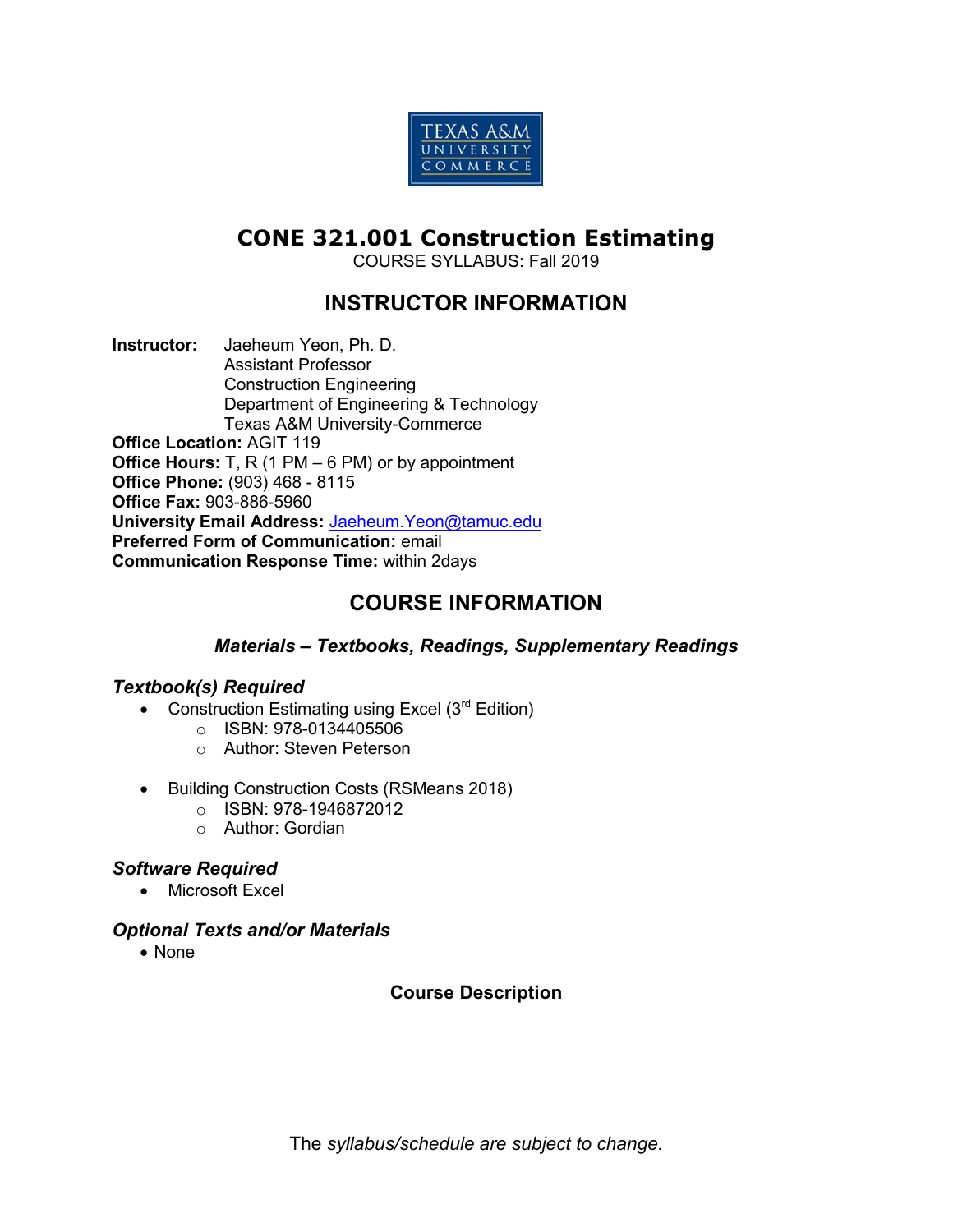

# **CONE 321.001 Construction Estimating**

COURSE SYLLABUS: Fall 2019

# **INSTRUCTOR INFORMATION**

**Instructor:** Jaeheum Yeon, Ph. D. Assistant Professor Construction Engineering Department of Engineering & Technology Texas A&M University-Commerce **Office Location:** AGIT 119 **Office Hours:** T, R (1 PM – 6 PM) or by appointment **Office Phone:** (903) 468 - 8115 **Office Fax:** 903-886-5960 **University Email Address:** [Jaeheum.Yeon@tamuc.edu](mailto:Jaeheum.Yeon@tamuc.edu) **Preferred Form of Communication:** email **Communication Response Time:** within 2days

# **COURSE INFORMATION**

# *Materials – Textbooks, Readings, Supplementary Readings*

# *Textbook(s) Required*

- Construction Estimating using Excel (3<sup>rd</sup> Edition)
	- o ISBN: 978-0134405506
	- o Author: Steven Peterson
- Building Construction Costs (RSMeans 2018)
	- $\circ$  ISBN: 978-1946872012
	- o Author: Gordian

# *Software Required*

• Microsoft Excel

# *Optional Texts and/or Materials*

• None

# **Course Description**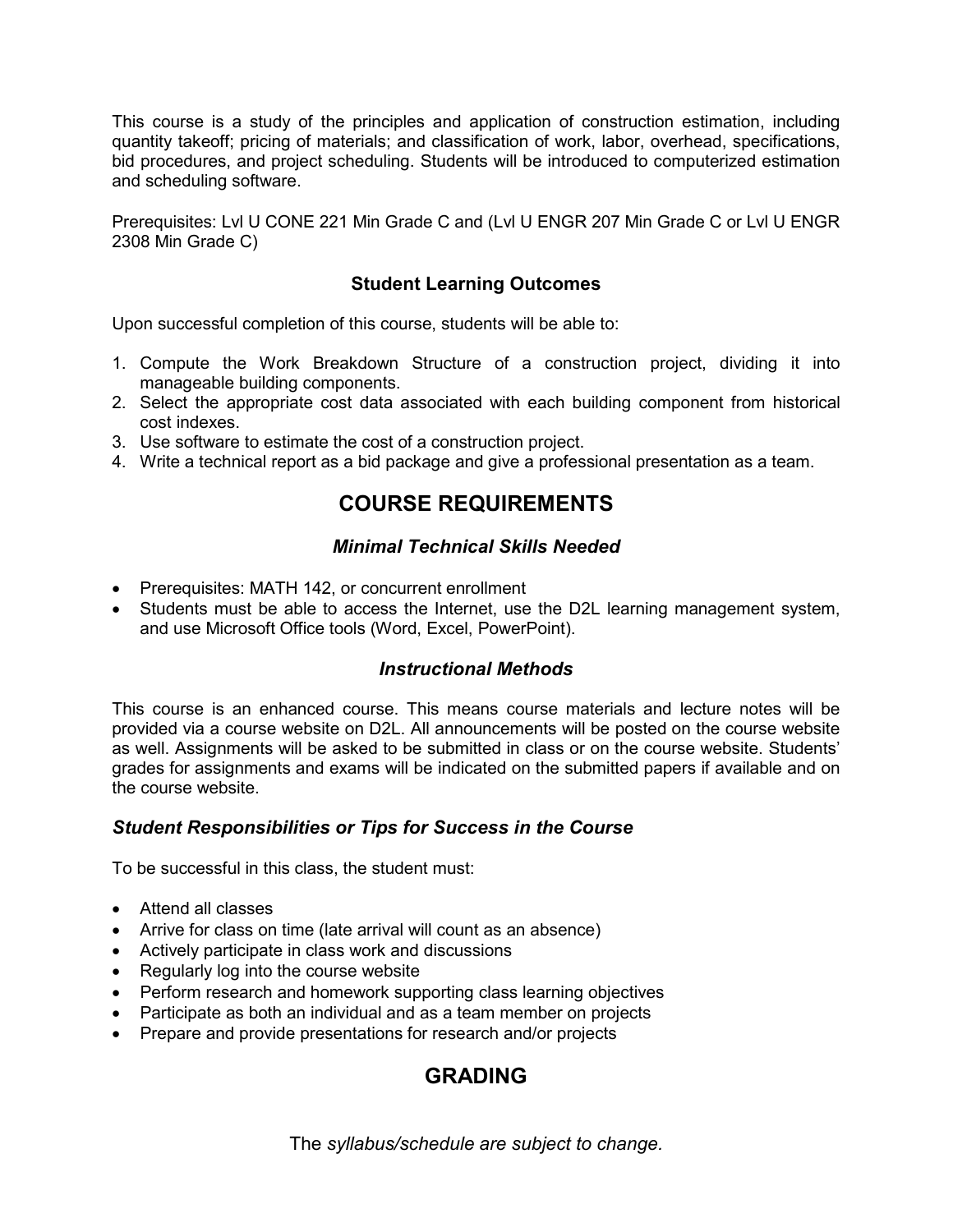This course is a study of the principles and application of construction estimation, including quantity takeoff; pricing of materials; and classification of work, labor, overhead, specifications, bid procedures, and project scheduling. Students will be introduced to computerized estimation and scheduling software.

Prerequisites: Lvl U CONE 221 Min Grade C and (Lvl U ENGR 207 Min Grade C or Lvl U ENGR 2308 Min Grade C)

# **Student Learning Outcomes**

Upon successful completion of this course, students will be able to:

- 1. Compute the Work Breakdown Structure of a construction project, dividing it into manageable building components.
- 2. Select the appropriate cost data associated with each building component from historical cost indexes.
- 3. Use software to estimate the cost of a construction project.
- 4. Write a technical report as a bid package and give a professional presentation as a team.

# **COURSE REQUIREMENTS**

# *Minimal Technical Skills Needed*

- Prerequisites: MATH 142, or concurrent enrollment
- Students must be able to access the Internet, use the D2L learning management system, and use Microsoft Office tools (Word, Excel, PowerPoint).

# *Instructional Methods*

This course is an enhanced course. This means course materials and lecture notes will be provided via a course website on D2L. All announcements will be posted on the course website as well. Assignments will be asked to be submitted in class or on the course website. Students' grades for assignments and exams will be indicated on the submitted papers if available and on the course website.

# *Student Responsibilities or Tips for Success in the Course*

To be successful in this class, the student must:

- Attend all classes
- Arrive for class on time (late arrival will count as an absence)
- Actively participate in class work and discussions
- Regularly log into the course website
- Perform research and homework supporting class learning objectives
- Participate as both an individual and as a team member on projects
- Prepare and provide presentations for research and/or projects

# **GRADING**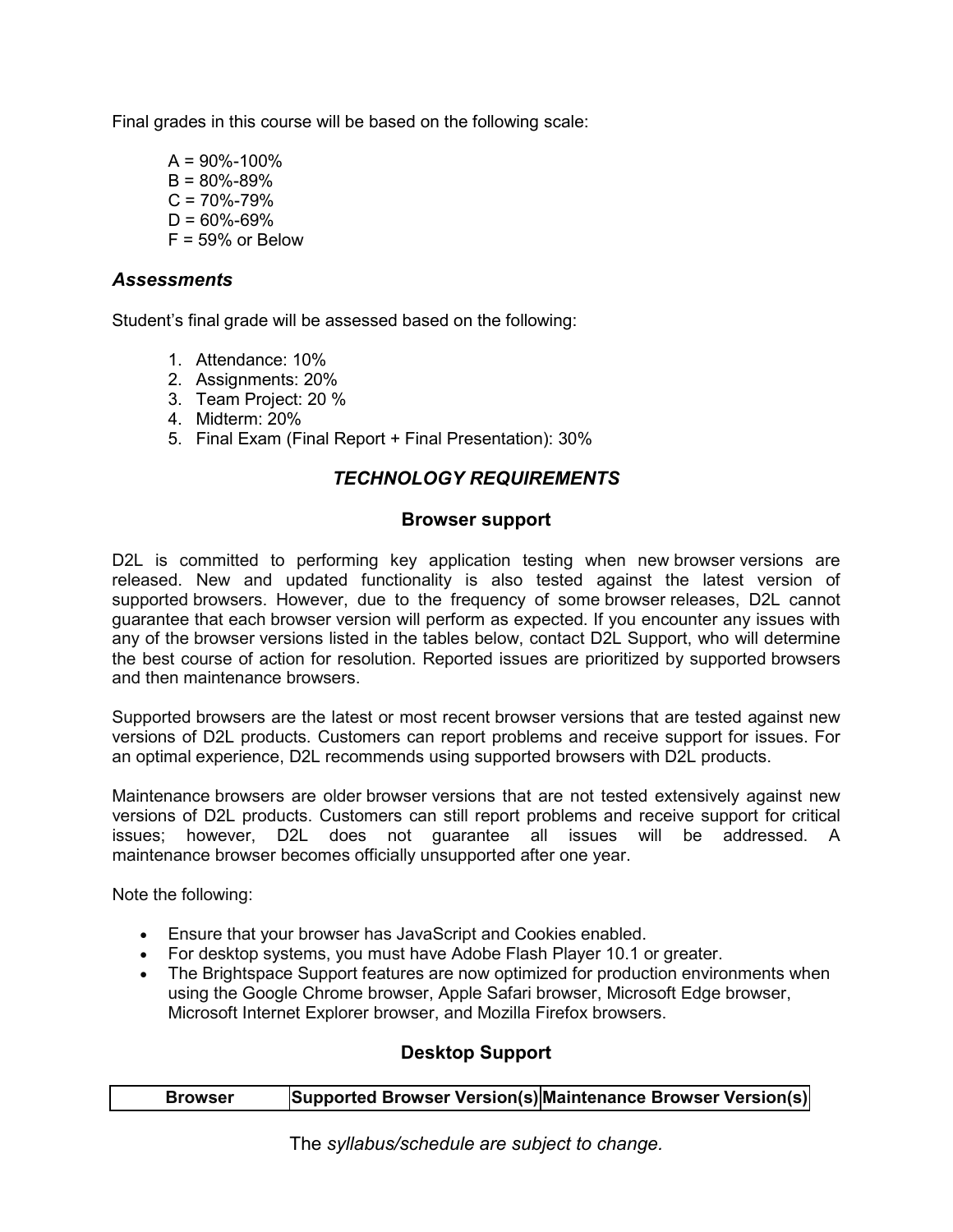Final grades in this course will be based on the following scale:

 $A = 90\% - 100\%$  $B = 80\% - 89\%$  $C = 70\% - 79\%$  $D = 60\% - 69\%$  $F = 59\%$  or Below

# *Assessments*

Student's final grade will be assessed based on the following:

- 1. Attendance: 10%
- 2. Assignments: 20%
- 3. Team Project: 20 %
- 4. Midterm: 20%
- 5. Final Exam (Final Report + Final Presentation): 30%

# *TECHNOLOGY REQUIREMENTS*

#### **Browser support**

D2L is committed to performing key application testing when new browser versions are released. New and updated functionality is also tested against the latest version of supported browsers. However, due to the frequency of some browser releases, D2L cannot guarantee that each browser version will perform as expected. If you encounter any issues with any of the browser versions listed in the tables below, contact D2L Support, who will determine the best course of action for resolution. Reported issues are prioritized by supported browsers and then maintenance browsers.

Supported browsers are the latest or most recent browser versions that are tested against new versions of D2L products. Customers can report problems and receive support for issues. For an optimal experience, D2L recommends using supported browsers with D2L products.

Maintenance browsers are older browser versions that are not tested extensively against new versions of D2L products. Customers can still report problems and receive support for critical issues; however, D2L does not guarantee all issues will be addressed. A maintenance browser becomes officially unsupported after one year.

Note the following:

- Ensure that your browser has JavaScript and Cookies enabled.
- For desktop systems, you must have Adobe Flash Player 10.1 or greater.
- The Brightspace Support features are now optimized for production environments when using the Google Chrome browser, Apple Safari browser, Microsoft Edge browser, Microsoft Internet Explorer browser, and Mozilla Firefox browsers.

# **Desktop Support**

| <b>Browser</b> | Supported Browser Version(s) Maintenance Browser Version(s) |
|----------------|-------------------------------------------------------------|
|----------------|-------------------------------------------------------------|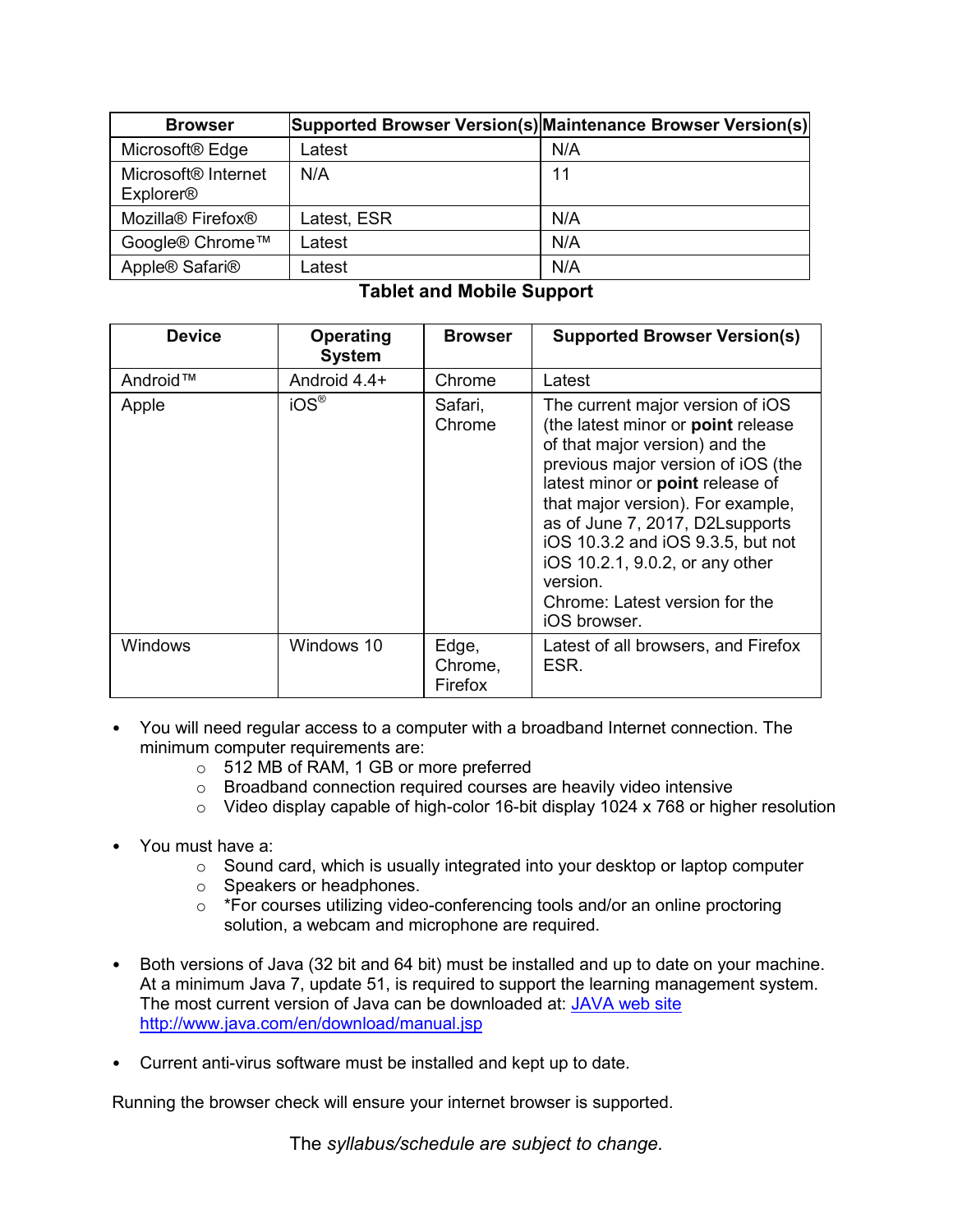| <b>Browser</b>                                      |             | Supported Browser Version(s) Maintenance Browser Version(s) |
|-----------------------------------------------------|-------------|-------------------------------------------------------------|
| Microsoft <sup>®</sup> Edge                         | Latest      | N/A                                                         |
| Microsoft <sup>®</sup> Internet<br><b>Explorer®</b> | N/A         | 11                                                          |
| Mozilla <sup>®</sup> Firefox <sup>®</sup>           | Latest, ESR | N/A                                                         |
| Google® Chrome™                                     | Latest      | N/A                                                         |
| Apple® Safari®                                      | _atest      | N/A                                                         |

# **Tablet and Mobile Support**

| <b>Device</b> | <b>Operating</b><br><b>System</b> | <b>Browser</b>              | <b>Supported Browser Version(s)</b>                                                                                                                                                                                                                                                                                                                                                               |
|---------------|-----------------------------------|-----------------------------|---------------------------------------------------------------------------------------------------------------------------------------------------------------------------------------------------------------------------------------------------------------------------------------------------------------------------------------------------------------------------------------------------|
| Android™      | Android 4.4+                      | Chrome                      | Latest                                                                                                                                                                                                                                                                                                                                                                                            |
| Apple         | $iOS^{\circledR}$                 | Safari,<br>Chrome           | The current major version of iOS<br>(the latest minor or point release<br>of that major version) and the<br>previous major version of iOS (the<br>latest minor or point release of<br>that major version). For example,<br>as of June 7, 2017, D2L supports<br>iOS 10.3.2 and iOS 9.3.5, but not<br>iOS 10.2.1, 9.0.2, or any other<br>version.<br>Chrome: Latest version for the<br>iOS browser. |
| Windows       | Windows 10                        | Edge,<br>Chrome,<br>Firefox | Latest of all browsers, and Firefox<br>ESR.                                                                                                                                                                                                                                                                                                                                                       |

- You will need regular access to a computer with a broadband Internet connection. The minimum computer requirements are:
	- o 512 MB of RAM, 1 GB or more preferred
	- o Broadband connection required courses are heavily video intensive
	- o Video display capable of high-color 16-bit display 1024 x 768 or higher resolution
- You must have a:
	- $\circ$  Sound card, which is usually integrated into your desktop or laptop computer
	- o Speakers or headphones.
	- o \*For courses utilizing video-conferencing tools and/or an online proctoring solution, a webcam and microphone are required.
- Both versions of Java (32 bit and 64 bit) must be installed and up to date on your machine. At a minimum Java 7, update 51, is required to support the learning management system. The most current version of Java can be downloaded at: JAVA web site <http://www.java.com/en/download/manual.jsp>
- Current anti-virus software must be installed and kept up to date.

Running the browser check will ensure your internet browser is supported.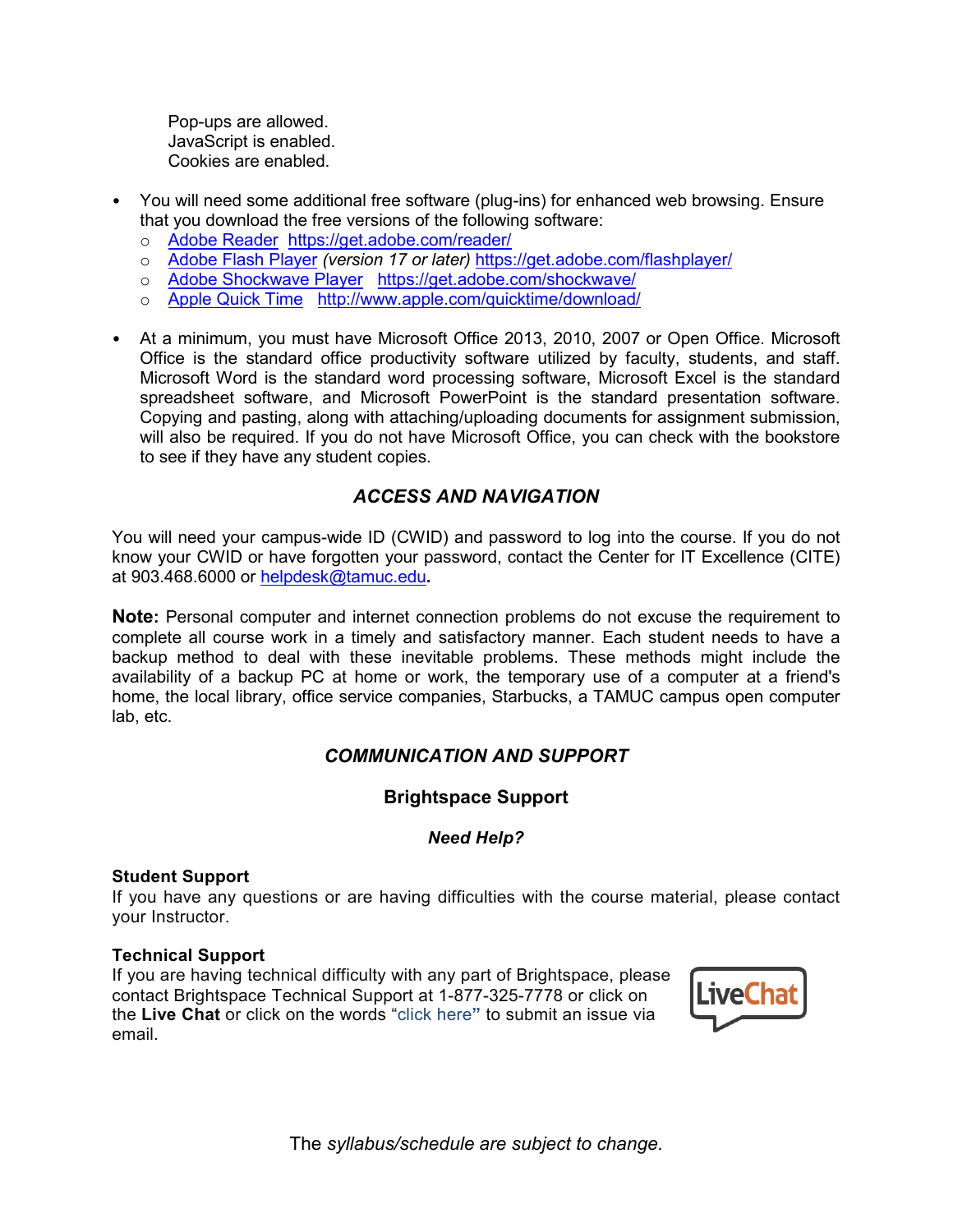Pop-ups are allowed. JavaScript is enabled. Cookies are enabled.

- You will need some additional free software (plug-ins) for enhanced web browsing. Ensure that you download the free versions of the following software:
	- o [Adobe Reader https://get.adobe.com/reader/](https://get.adobe.com/reader/)
	- o [Adobe Flash Player](https://get.adobe.com/flashplayer/) *(version 17 or later)* <https://get.adobe.com/flashplayer/>
	- o [Adobe Shockwave Player https://get.adobe.com/shockwave/](https://get.adobe.com/shockwave/)
	- o [Apple Quick Time http://www.apple.com/quicktime/download/](http://www.apple.com/quicktime/download/)
- At a minimum, you must have Microsoft Office 2013, 2010, 2007 or Open Office. Microsoft Office is the standard office productivity software utilized by faculty, students, and staff. Microsoft Word is the standard word processing software, Microsoft Excel is the standard spreadsheet software, and Microsoft PowerPoint is the standard presentation software. Copying and pasting, along with attaching/uploading documents for assignment submission, will also be required. If you do not have Microsoft Office, you can check with the bookstore to see if they have any student copies.

# *ACCESS AND NAVIGATION*

You will need your campus-wide ID (CWID) and password to log into the course. If you do not know your CWID or have forgotten your password, contact the Center for IT Excellence (CITE) at 903.468.6000 or [helpdesk@tamuc.edu](mailto:helpdesk@tamuc.edu)**.**

**Note:** Personal computer and internet connection problems do not excuse the requirement to complete all course work in a timely and satisfactory manner. Each student needs to have a backup method to deal with these inevitable problems. These methods might include the availability of a backup PC at home or work, the temporary use of a computer at a friend's home, the local library, office service companies, Starbucks, a TAMUC campus open computer lab, etc.

# *COMMUNICATION AND SUPPORT*

# **Brightspace Support**

#### *Need Help?*

#### **Student Support**

If you have any questions or are having difficulties with the course material, please contact your Instructor.

#### **Technical Support**

If you are having technical difficulty with any part of Brightspace, please contact Brightspace Technical Support at 1-877-325-7778 or click on the **Live Chat** or click on the words "click here**"** to submit an issue via email.

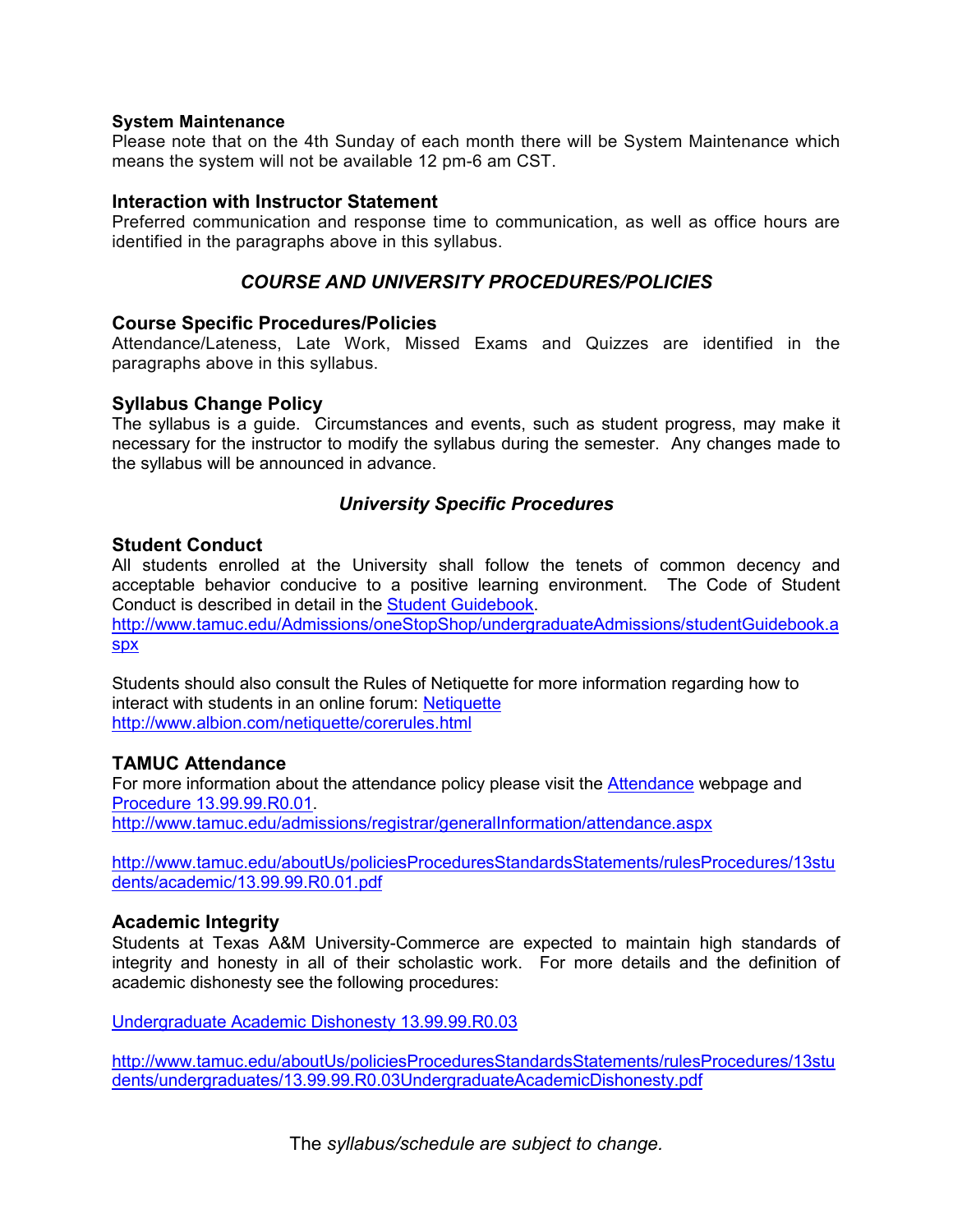#### **System Maintenance**

Please note that on the 4th Sunday of each month there will be System Maintenance which means the system will not be available 12 pm-6 am CST.

#### **Interaction with Instructor Statement**

Preferred communication and response time to communication, as well as office hours are identified in the paragraphs above in this syllabus.

#### *COURSE AND UNIVERSITY PROCEDURES/POLICIES*

#### **Course Specific Procedures/Policies**

Attendance/Lateness, Late Work, Missed Exams and Quizzes are identified in the paragraphs above in this syllabus.

#### **Syllabus Change Policy**

The syllabus is a guide. Circumstances and events, such as student progress, may make it necessary for the instructor to modify the syllabus during the semester. Any changes made to the syllabus will be announced in advance.

#### *University Specific Procedures*

#### **Student Conduct**

All students enrolled at the University shall follow the tenets of common decency and acceptable behavior conducive to a positive learning environment. The Code of Student Conduct is described in detail in the [Student Guidebook.](http://www.tamuc.edu/Admissions/oneStopShop/undergraduateAdmissions/studentGuidebook.aspx)

[http://www.tamuc.edu/Admissions/oneStopShop/undergraduateAdmissions/studentGuidebook.a](http://www.tamuc.edu/Admissions/oneStopShop/undergraduateAdmissions/studentGuidebook.aspx) [spx](http://www.tamuc.edu/Admissions/oneStopShop/undergraduateAdmissions/studentGuidebook.aspx)

Students should also consult the Rules of Netiquette for more information regarding how to interact with students in an online forum: [Netiquette](http://www.albion.com/netiquette/corerules.html) <http://www.albion.com/netiquette/corerules.html>

#### **TAMUC Attendance**

For more information about the attendance policy please visit the [Attendance](http://www.tamuc.edu/admissions/registrar/generalInformation/attendance.aspx) webpage and [Procedure 13.99.99.R0.01.](http://www.tamuc.edu/aboutUs/policiesProceduresStandardsStatements/rulesProcedures/13students/academic/13.99.99.R0.01.pdf) <http://www.tamuc.edu/admissions/registrar/generalInformation/attendance.aspx>

[http://www.tamuc.edu/aboutUs/policiesProceduresStandardsStatements/rulesProcedures/13stu](http://www.tamuc.edu/aboutUs/policiesProceduresStandardsStatements/rulesProcedures/13students/academic/13.99.99.R0.01.pdf) [dents/academic/13.99.99.R0.01.pdf](http://www.tamuc.edu/aboutUs/policiesProceduresStandardsStatements/rulesProcedures/13students/academic/13.99.99.R0.01.pdf)

#### **Academic Integrity**

Students at Texas A&M University-Commerce are expected to maintain high standards of integrity and honesty in all of their scholastic work. For more details and the definition of academic dishonesty see the following procedures:

[Undergraduate Academic Dishonesty 13.99.99.R0.03](http://www.tamuc.edu/aboutUs/policiesProceduresStandardsStatements/rulesProcedures/13students/undergraduates/13.99.99.R0.03UndergraduateAcademicDishonesty.pdf)

[http://www.tamuc.edu/aboutUs/policiesProceduresStandardsStatements/rulesProcedures/13stu](http://www.tamuc.edu/aboutUs/policiesProceduresStandardsStatements/rulesProcedures/13students/undergraduates/13.99.99.R0.03UndergraduateAcademicDishonesty.pdf) [dents/undergraduates/13.99.99.R0.03UndergraduateAcademicDishonesty.pdf](http://www.tamuc.edu/aboutUs/policiesProceduresStandardsStatements/rulesProcedures/13students/undergraduates/13.99.99.R0.03UndergraduateAcademicDishonesty.pdf)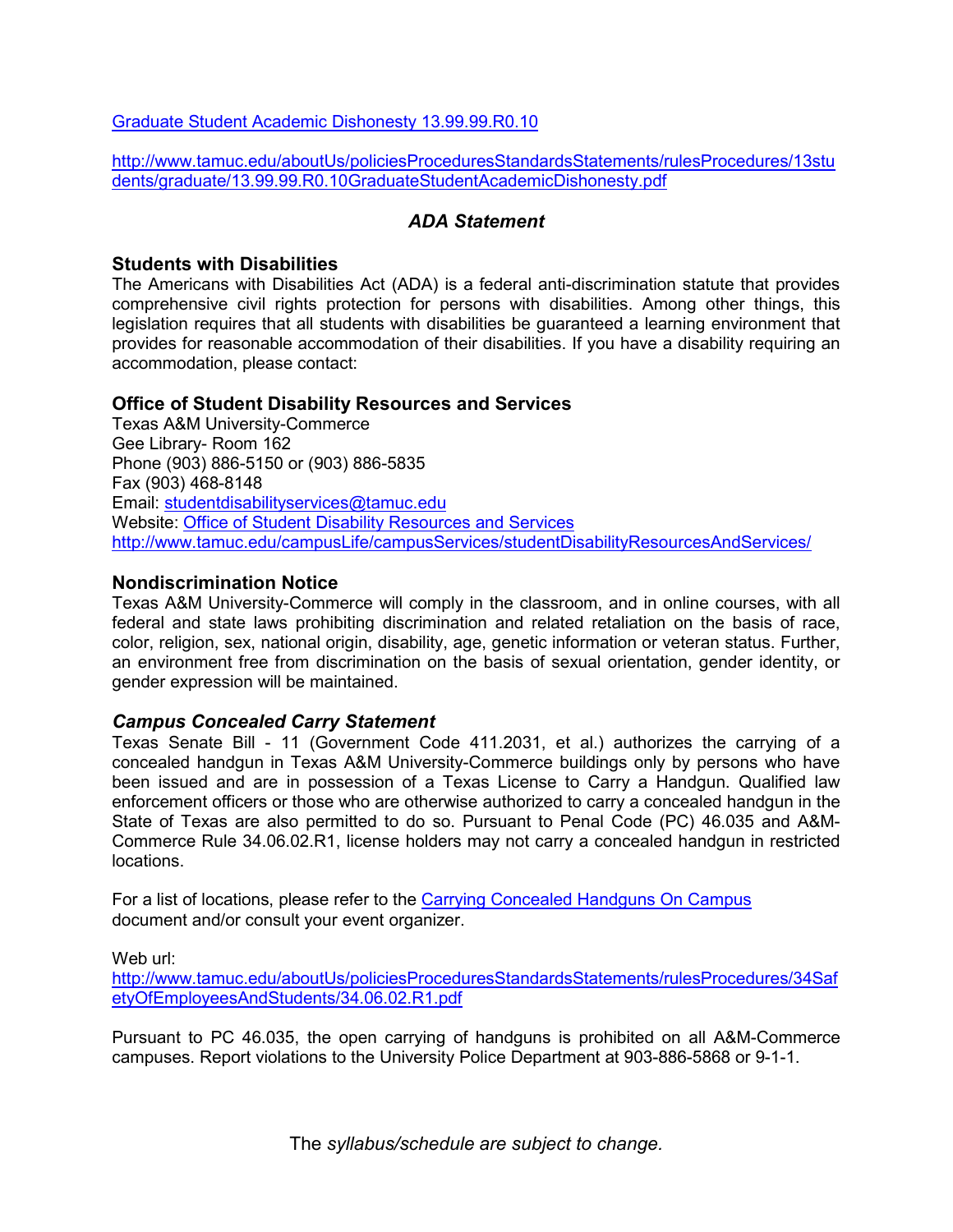[Graduate Student Academic Dishonesty 13.99.99.R0.10](http://www.tamuc.edu/aboutUs/policiesProceduresStandardsStatements/rulesProcedures/13students/graduate/13.99.99.R0.10GraduateStudentAcademicDishonesty.pdf)

[http://www.tamuc.edu/aboutUs/policiesProceduresStandardsStatements/rulesProcedures/13stu](http://www.tamuc.edu/aboutUs/policiesProceduresStandardsStatements/rulesProcedures/13students/graduate/13.99.99.R0.10GraduateStudentAcademicDishonesty.pdf) [dents/graduate/13.99.99.R0.10GraduateStudentAcademicDishonesty.pdf](http://www.tamuc.edu/aboutUs/policiesProceduresStandardsStatements/rulesProcedures/13students/graduate/13.99.99.R0.10GraduateStudentAcademicDishonesty.pdf)

#### *ADA Statement*

#### **Students with Disabilities**

The Americans with Disabilities Act (ADA) is a federal anti-discrimination statute that provides comprehensive civil rights protection for persons with disabilities. Among other things, this legislation requires that all students with disabilities be guaranteed a learning environment that provides for reasonable accommodation of their disabilities. If you have a disability requiring an accommodation, please contact:

#### **Office of Student Disability Resources and Services**

Texas A&M University-Commerce Gee Library- Room 162 Phone (903) 886-5150 or (903) 886-5835 Fax (903) 468-8148 Email: [studentdisabilityservices@tamuc.edu](mailto:studentdisabilityservices@tamuc.edu) Website: [Office of Student Disability Resources and Services](http://www.tamuc.edu/campusLife/campusServices/studentDisabilityResourcesAndServices/) <http://www.tamuc.edu/campusLife/campusServices/studentDisabilityResourcesAndServices/>

#### **Nondiscrimination Notice**

Texas A&M University-Commerce will comply in the classroom, and in online courses, with all federal and state laws prohibiting discrimination and related retaliation on the basis of race, color, religion, sex, national origin, disability, age, genetic information or veteran status. Further, an environment free from discrimination on the basis of sexual orientation, gender identity, or gender expression will be maintained.

#### *Campus Concealed Carry Statement*

Texas Senate Bill - 11 (Government Code 411.2031, et al.) authorizes the carrying of a concealed handgun in Texas A&M University-Commerce buildings only by persons who have been issued and are in possession of a Texas License to Carry a Handgun. Qualified law enforcement officers or those who are otherwise authorized to carry a concealed handgun in the State of Texas are also permitted to do so. Pursuant to Penal Code (PC) 46.035 and A&M-Commerce Rule 34.06.02.R1, license holders may not carry a concealed handgun in restricted locations.

For a list of locations, please refer to the [Carrying Concealed Handguns On Campus](http://www.tamuc.edu/aboutUs/policiesProceduresStandardsStatements/rulesProcedures/34SafetyOfEmployeesAndStudents/34.06.02.R1.pdf) document and/or consult your event organizer.

Web url:

[http://www.tamuc.edu/aboutUs/policiesProceduresStandardsStatements/rulesProcedures/34Saf](http://www.tamuc.edu/aboutUs/policiesProceduresStandardsStatements/rulesProcedures/34SafetyOfEmployeesAndStudents/34.06.02.R1.pdf) [etyOfEmployeesAndStudents/34.06.02.R1.pdf](http://www.tamuc.edu/aboutUs/policiesProceduresStandardsStatements/rulesProcedures/34SafetyOfEmployeesAndStudents/34.06.02.R1.pdf)

Pursuant to PC 46.035, the open carrying of handguns is prohibited on all A&M-Commerce campuses. Report violations to the University Police Department at 903-886-5868 or 9-1-1.